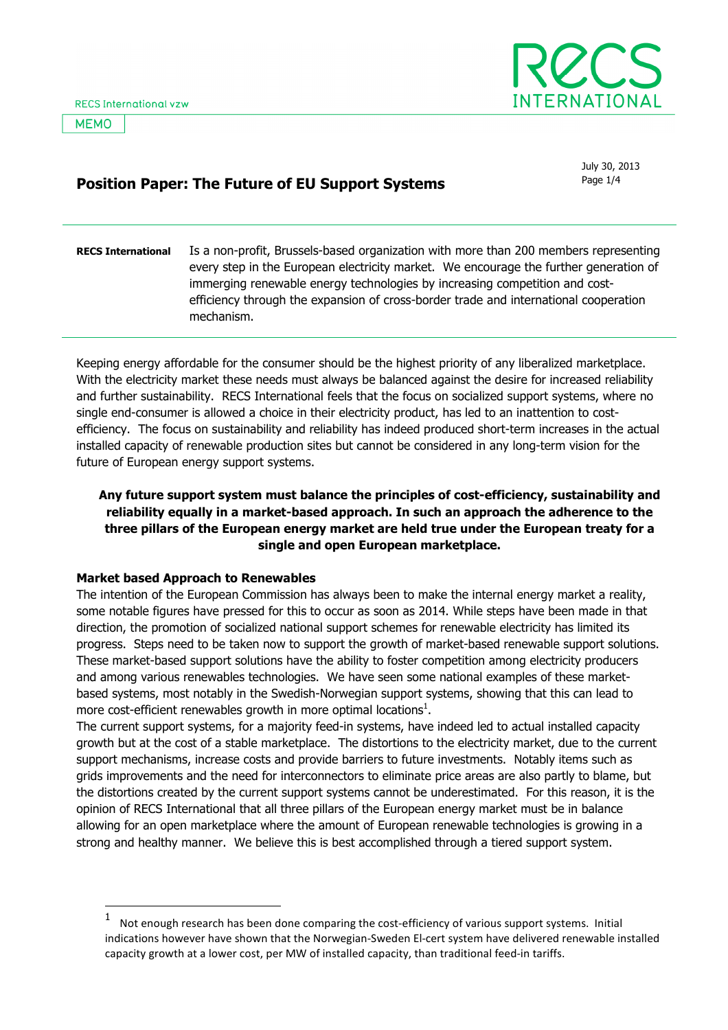**MEMO** 



July 30, 2013

# Position Paper: The Future of EU Support Systems **Page 1/4** Page 1/4

#### RECS International Is a non-profit, Brussels-based organization with more than 200 members representing every step in the European electricity market. We encourage the further generation of immerging renewable energy technologies by increasing competition and costefficiency through the expansion of cross-border trade and international cooperation mechanism.

Keeping energy affordable for the consumer should be the highest priority of any liberalized marketplace. With the electricity market these needs must always be balanced against the desire for increased reliability and further sustainability. RECS International feels that the focus on socialized support systems, where no single end-consumer is allowed a choice in their electricity product, has led to an inattention to costefficiency. The focus on sustainability and reliability has indeed produced short-term increases in the actual installed capacity of renewable production sites but cannot be considered in any long-term vision for the future of European energy support systems.

# Any future support system must balance the principles of cost-efficiency, sustainability and reliability equally in a market-based approach. In such an approach the adherence to the three pillars of the European energy market are held true under the European treaty for a single and open European marketplace.

# Market based Approach to Renewables

l

The intention of the European Commission has always been to make the internal energy market a reality, some notable figures have pressed for this to occur as soon as 2014. While steps have been made in that direction, the promotion of socialized national support schemes for renewable electricity has limited its progress. Steps need to be taken now to support the growth of market-based renewable support solutions. These market-based support solutions have the ability to foster competition among electricity producers and among various renewables technologies. We have seen some national examples of these marketbased systems, most notably in the Swedish-Norwegian support systems, showing that this can lead to more cost-efficient renewables growth in more optimal locations<sup>1</sup>.

The current support systems, for a majority feed-in systems, have indeed led to actual installed capacity growth but at the cost of a stable marketplace. The distortions to the electricity market, due to the current support mechanisms, increase costs and provide barriers to future investments. Notably items such as grids improvements and the need for interconnectors to eliminate price areas are also partly to blame, but the distortions created by the current support systems cannot be underestimated. For this reason, it is the opinion of RECS International that all three pillars of the European energy market must be in balance allowing for an open marketplace where the amount of European renewable technologies is growing in a strong and healthy manner. We believe this is best accomplished through a tiered support system.

<sup>1</sup> Not enough research has been done comparing the cost-efficiency of various support systems. Initial indications however have shown that the Norwegian-Sweden El-cert system have delivered renewable installed capacity growth at a lower cost, per MW of installed capacity, than traditional feed-in tariffs.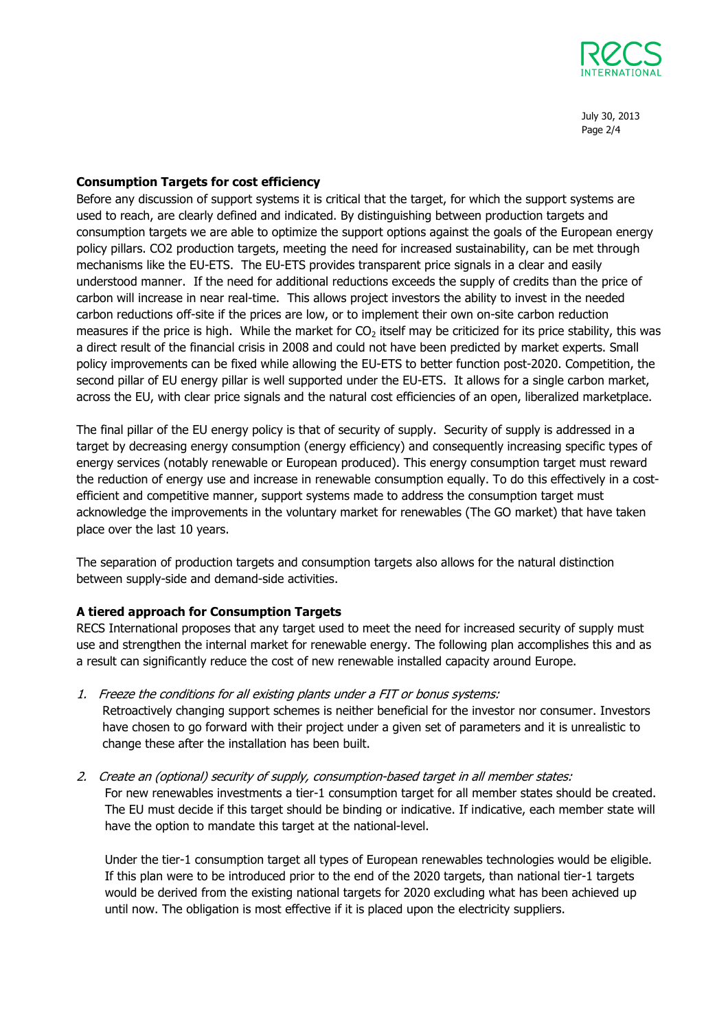

July 30, 2013 Page 2/4

## Consumption Targets for cost efficiency

Before any discussion of support systems it is critical that the target, for which the support systems are used to reach, are clearly defined and indicated. By distinguishing between production targets and consumption targets we are able to optimize the support options against the goals of the European energy policy pillars. CO2 production targets, meeting the need for increased sustainability, can be met through mechanisms like the EU-ETS. The EU-ETS provides transparent price signals in a clear and easily understood manner. If the need for additional reductions exceeds the supply of credits than the price of carbon will increase in near real-time. This allows project investors the ability to invest in the needed carbon reductions off-site if the prices are low, or to implement their own on-site carbon reduction measures if the price is high. While the market for  $CO<sub>2</sub>$  itself may be criticized for its price stability, this was a direct result of the financial crisis in 2008 and could not have been predicted by market experts. Small policy improvements can be fixed while allowing the EU-ETS to better function post-2020. Competition, the second pillar of EU energy pillar is well supported under the EU-ETS. It allows for a single carbon market, across the EU, with clear price signals and the natural cost efficiencies of an open, liberalized marketplace.

The final pillar of the EU energy policy is that of security of supply. Security of supply is addressed in a target by decreasing energy consumption (energy efficiency) and consequently increasing specific types of energy services (notably renewable or European produced). This energy consumption target must reward the reduction of energy use and increase in renewable consumption equally. To do this effectively in a costefficient and competitive manner, support systems made to address the consumption target must acknowledge the improvements in the voluntary market for renewables (The GO market) that have taken place over the last 10 years.

The separation of production targets and consumption targets also allows for the natural distinction between supply-side and demand-side activities.

## A tiered approach for Consumption Targets

RECS International proposes that any target used to meet the need for increased security of supply must use and strengthen the internal market for renewable energy. The following plan accomplishes this and as a result can significantly reduce the cost of new renewable installed capacity around Europe.

1. Freeze the conditions for all existing plants under a FIT or bonus systems:

Retroactively changing support schemes is neither beneficial for the investor nor consumer. Investors have chosen to go forward with their project under a given set of parameters and it is unrealistic to change these after the installation has been built.

2. Create an (optional) security of supply, consumption-based target in all member states:

For new renewables investments a tier-1 consumption target for all member states should be created. The EU must decide if this target should be binding or indicative. If indicative, each member state will have the option to mandate this target at the national-level.

Under the tier-1 consumption target all types of European renewables technologies would be eligible. If this plan were to be introduced prior to the end of the 2020 targets, than national tier-1 targets would be derived from the existing national targets for 2020 excluding what has been achieved up until now. The obligation is most effective if it is placed upon the electricity suppliers.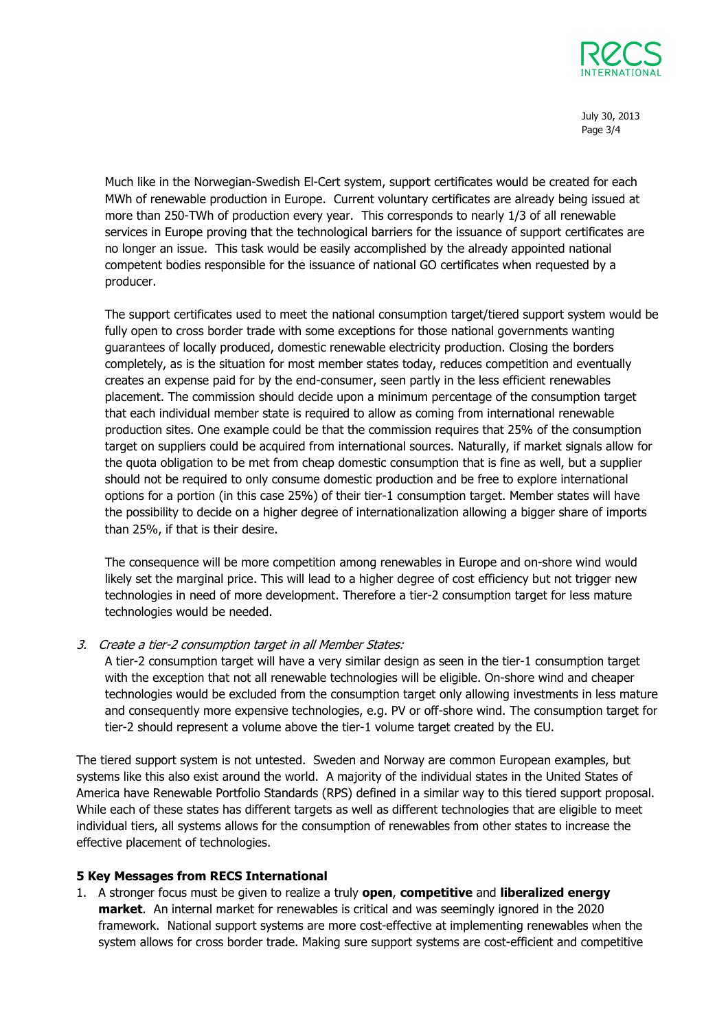

July 30, 2013 Page 3/4

Much like in the Norwegian-Swedish El-Cert system, support certificates would be created for each MWh of renewable production in Europe. Current voluntary certificates are already being issued at more than 250-TWh of production every year. This corresponds to nearly 1/3 of all renewable services in Europe proving that the technological barriers for the issuance of support certificates are no longer an issue. This task would be easily accomplished by the already appointed national competent bodies responsible for the issuance of national GO certificates when requested by a producer.

The support certificates used to meet the national consumption target/tiered support system would be fully open to cross border trade with some exceptions for those national governments wanting guarantees of locally produced, domestic renewable electricity production. Closing the borders completely, as is the situation for most member states today, reduces competition and eventually creates an expense paid for by the end-consumer, seen partly in the less efficient renewables placement. The commission should decide upon a minimum percentage of the consumption target that each individual member state is required to allow as coming from international renewable production sites. One example could be that the commission requires that 25% of the consumption target on suppliers could be acquired from international sources. Naturally, if market signals allow for the quota obligation to be met from cheap domestic consumption that is fine as well, but a supplier should not be required to only consume domestic production and be free to explore international options for a portion (in this case 25%) of their tier-1 consumption target. Member states will have the possibility to decide on a higher degree of internationalization allowing a bigger share of imports than 25%, if that is their desire.

The consequence will be more competition among renewables in Europe and on-shore wind would likely set the marginal price. This will lead to a higher degree of cost efficiency but not trigger new technologies in need of more development. Therefore a tier-2 consumption target for less mature technologies would be needed.

3. Create a tier-2 consumption target in all Member States:

A tier-2 consumption target will have a very similar design as seen in the tier-1 consumption target with the exception that not all renewable technologies will be eligible. On-shore wind and cheaper technologies would be excluded from the consumption target only allowing investments in less mature and consequently more expensive technologies, e.g. PV or off-shore wind. The consumption target for tier-2 should represent a volume above the tier-1 volume target created by the EU.

The tiered support system is not untested. Sweden and Norway are common European examples, but systems like this also exist around the world. A majority of the individual states in the United States of America have Renewable Portfolio Standards (RPS) defined in a similar way to this tiered support proposal. While each of these states has different targets as well as different technologies that are eligible to meet individual tiers, all systems allows for the consumption of renewables from other states to increase the effective placement of technologies.

## 5 Key Messages from RECS International

1. A stronger focus must be given to realize a truly open, competitive and liberalized energy **market.** An internal market for renewables is critical and was seemingly ignored in the 2020 framework. National support systems are more cost-effective at implementing renewables when the system allows for cross border trade. Making sure support systems are cost-efficient and competitive